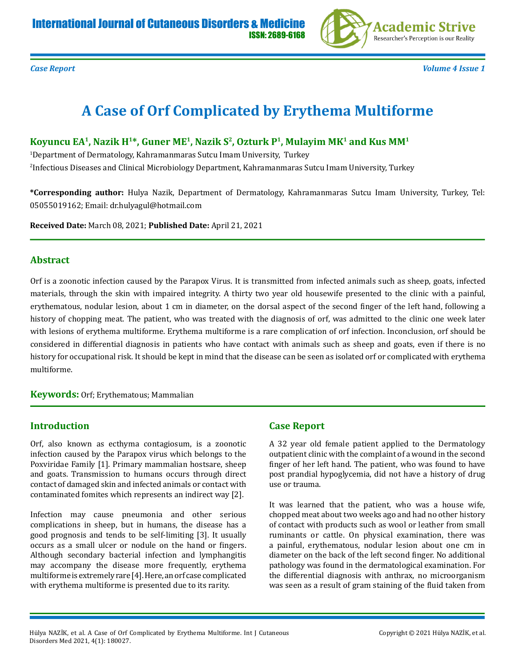

*Case Report Volume 4 Issue 1*

# **A Case of Orf Complicated by Erythema Multiforme**

Koyuncu EA<sup>1</sup>, Nazik H<sup>1\*</sup>, Guner ME<sup>1</sup>, Nazik S<sup>2</sup>, Ozturk P<sup>1</sup>, Mulayim MK<sup>1</sup> and Kus MM<sup>1</sup>

1 Department of Dermatology, Kahramanmaras Sutcu Imam University, Turkey 2 Infectious Diseases and Clinical Microbiology Department, Kahramanmaras Sutcu Imam University, Turkey

**\*Corresponding author:** Hulya Nazik, Department of Dermatology, Kahramanmaras Sutcu Imam University, Turkey, Tel: 05055019162; Email: dr.hulyagul@hotmail.com

**Received Date:** March 08, 2021; **Published Date:** April 21, 2021

#### **Abstract**

Orf is a zoonotic infection caused by the Parapox Virus. It is transmitted from infected animals such as sheep, goats, infected materials, through the skin with impaired integrity. A thirty two year old housewife presented to the clinic with a painful, erythematous, nodular lesion, about 1 cm in diameter, on the dorsal aspect of the second finger of the left hand, following a history of chopping meat. The patient, who was treated with the diagnosis of orf, was admitted to the clinic one week later with lesions of erythema multiforme. Erythema multiforme is a rare complication of orf infection. Inconclusion, orf should be considered in differential diagnosis in patients who have contact with animals such as sheep and goats, even if there is no history for occupational risk. It should be kept in mind that the disease can be seen as isolated orf or complicated with erythema multiforme.

**Keywords:** Orf; Erythematous; Mammalian

## **Introduction**

Orf, also known as ecthyma contagiosum, is a zoonotic infection caused by the Parapox virus which belongs to the Poxviridae Family [1]. Primary mammalian hostsare, sheep and goats. Transmission to humans occurs through direct contact of damaged skin and infected animals or contact with contaminated fomites which represents an indirect way [2].

Infection may cause pneumonia and other serious complications in sheep, but in humans, the disease has a good prognosis and tends to be self-limiting [3]. It usually occurs as a small ulcer or nodule on the hand or fingers. Although secondary bacterial infection and lymphangitis may accompany the disease more frequently, erythema multiforme is extremely rare [4]. Here, an orf case complicated with erythema multiforme is presented due to its rarity.

## **Case Report**

A 32 year old female patient applied to the Dermatology outpatient clinic with the complaint of a wound in the second finger of her left hand. The patient, who was found to have post prandial hypoglycemia, did not have a history of drug use or trauma.

It was learned that the patient, who was a house wife, chopped meat about two weeks ago and had no other history of contact with products such as wool or leather from small ruminants or cattle. On physical examination, there was a painful, erythematous, nodular lesion about one cm in diameter on the back of the left second finger. No additional pathology was found in the dermatological examination. For the differential diagnosis with anthrax, no microorganism was seen as a result of gram staining of the fluid taken from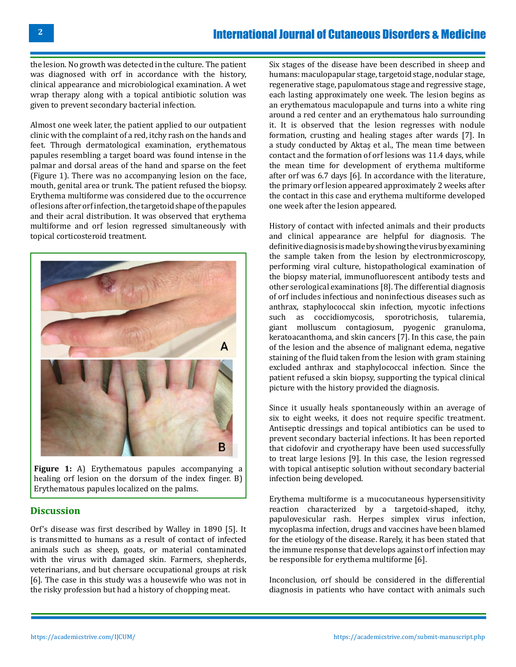the lesion. No growth was detected in the culture. The patient was diagnosed with orf in accordance with the history, clinical appearance and microbiological examination. A wet wrap therapy along with a topical antibiotic solution was given to prevent secondary bacterial infection.

Almost one week later, the patient applied to our outpatient clinic with the complaint of a red, itchy rash on the hands and feet. Through dermatological examination, erythematous papules resembling a target board was found intense in the palmar and dorsal areas of the hand and sparse on the feet (Figure 1). There was no accompanying lesion on the face, mouth, genital area or trunk. The patient refused the biopsy. Erythema multiforme was considered due to the occurrence of lesions after orf infection, the targetoid shape of the papules and their acral distribution. It was observed that erythema multiforme and orf lesion regressed simultaneously with topical corticosteroid treatment.



**Figure 1:** A) Erythematous papules accompanying a healing orf lesion on the dorsum of the index finger. B) Erythematous papules localized on the palms.

### **Discussion**

Orf's disease was first described by Walley in 1890 [5]. It is transmitted to humans as a result of contact of infected animals such as sheep, goats, or material contaminated with the virus with damaged skin. Farmers, shepherds, veterinarians, and but chersare occupational groups at risk [6]. The case in this study was a housewife who was not in the risky profession but had a history of chopping meat.

Six stages of the disease have been described in sheep and humans: maculopapular stage, targetoid stage, nodular stage, regenerative stage, papulomatous stage and regressive stage, each lasting approximately one week. The lesion begins as an erythematous maculopapule and turns into a white ring around a red center and an erythematous halo surrounding it. It is observed that the lesion regresses with nodule formation, crusting and healing stages after wards [7]. In a study conducted by Aktaş et al., The mean time between contact and the formation of orf lesions was 11.4 days, while the mean time for development of erythema multiforme after orf was 6.7 days [6]. In accordance with the literature, the primary orf lesion appeared approximately 2 weeks after the contact in this case and erythema multiforme developed one week after the lesion appeared.

History of contact with infected animals and their products and clinical appearance are helpful for diagnosis. The definitive diagnosis is made by showing the virus by examining the sample taken from the lesion by electronmicroscopy, performing viral culture, histopathological examination of the biopsy material, immunofluorescent antibody tests and other serological examinations [8]. The differential diagnosis of orf includes infectious and noninfectious diseases such as anthrax, staphylococcal skin infection, mycotic infections such as coccidiomycosis, sporotrichosis, tularemia, giant molluscum contagiosum, pyogenic granuloma, keratoacanthoma, and skin cancers [7]. In this case, the pain of the lesion and the absence of malignant edema, negative staining of the fluid taken from the lesion with gram staining excluded anthrax and staphylococcal infection. Since the patient refused a skin biopsy, supporting the typical clinical picture with the history provided the diagnosis.

Since it usually heals spontaneously within an average of six to eight weeks, it does not require specific treatment. Antiseptic dressings and topical antibiotics can be used to prevent secondary bacterial infections. It has been reported that cidofovir and cryotherapy have been used successfully to treat large lesions [9]. In this case, the lesion regressed with topical antiseptic solution without secondary bacterial infection being developed.

Erythema multiforme is a mucocutaneous hypersensitivity reaction characterized by a targetoid-shaped, itchy, papulovesicular rash. Herpes simplex virus infection, mycoplasma infection, drugs and vaccines have been blamed for the etiology of the disease. Rarely, it has been stated that the immune response that develops against orf infection may be responsible for erythema multiforme [6].

Inconclusion, orf should be considered in the differential diagnosis in patients who have contact with animals such